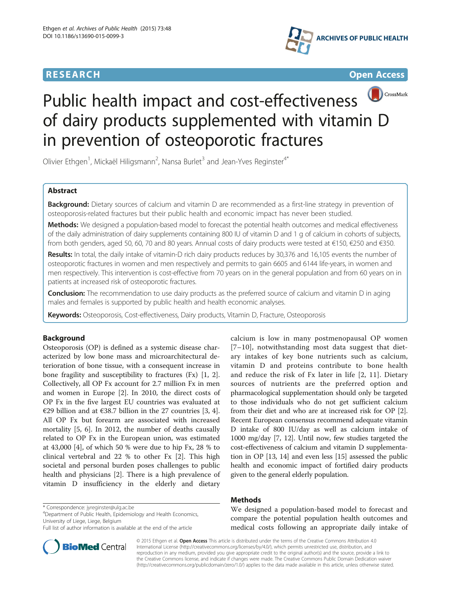# **RESEARCH RESEARCH** *CHECK CHECK CHECK CHECK CHECK CHECK CHECK CHECK CHECK CHECK CHECK CHECK CHECK CHECK CHECK CHECK CHECK CHECK CHECK CHECK CHECK CHECK CHECK CHECK CHECK CHECK CHECK CHECK CHECK CHECK CHECK CHECK CHECK*





# Public health impact and cost-effectiveness of dairy products supplemented with vitamin D in prevention of osteoporotic fractures

Olivier Ethgen<sup>1</sup>, Mickaël Hiligsmann<sup>2</sup>, Nansa Burlet<sup>3</sup> and Jean-Yves Reginster<sup>4\*</sup>

# Abstract

Background: Dietary sources of calcium and vitamin D are recommended as a first-line strategy in prevention of osteoporosis-related fractures but their public health and economic impact has never been studied.

Methods: We designed a population-based model to forecast the potential health outcomes and medical effectiveness of the daily administration of dairy supplements containing 800 IU of vitamin D and 1 g of calcium in cohorts of subjects, from both genders, aged 50, 60, 70 and 80 years. Annual costs of dairy products were tested at €150, €250 and €350.

Results: In total, the daily intake of vitamin-D rich dairy products reduces by 30,376 and 16,105 events the number of osteoporotic fractures in women and men respectively and permits to gain 6605 and 6144 life-years, in women and men respectively. This intervention is cost-effective from 70 years on in the general population and from 60 years on in patients at increased risk of osteoporotic fractures.

**Conclusion:** The recommendation to use dairy products as the preferred source of calcium and vitamin D in aging males and females is supported by public health and health economic analyses.

Keywords: Osteoporosis, Cost-effectiveness, Dairy products, Vitamin D, Fracture, Osteoporosis

# Background

Osteoporosis (OP) is defined as a systemic disease characterized by low bone mass and microarchitectural deterioration of bone tissue, with a consequent increase in bone fragility and susceptibility to fractures (Fx) [[1, 2](#page-5-0)]. Collectively, all OP Fx account for 2.7 million Fx in men and women in Europe [\[2](#page-5-0)]. In 2010, the direct costs of OP Fx in the five largest EU countries was evaluated at €29 billion and at €38.7 billion in the 27 countries [\[3](#page-5-0), [4](#page-5-0)]. All OP Fx but forearm are associated with increased mortality [[5, 6\]](#page-5-0). In 2012, the number of deaths causally related to OP Fx in the European union, was estimated at 43,000 [\[4](#page-5-0)], of which 50 % were due to hip Fx, 28 % to clinical vertebral and 22 % to other Fx [[2\]](#page-5-0). This high societal and personal burden poses challenges to public health and physicians [\[2](#page-5-0)]. There is a high prevalence of vitamin D insufficiency in the elderly and dietary

\* Correspondence: [jyreginster@ulg.ac.be](mailto:jyreginster@ulg.ac.be) <sup>4</sup>

Department of Public Health, Epidemiology and Health Economics, University of Liege, Liege, Belgium

calcium is low in many postmenopausal OP women [[7](#page-5-0)–[10](#page-5-0)], notwithstanding most data suggest that dietary intakes of key bone nutrients such as calcium, vitamin D and proteins contribute to bone health and reduce the risk of Fx later in life [\[2](#page-5-0), [11](#page-5-0)]. Dietary sources of nutrients are the preferred option and pharmacological supplementation should only be targeted to those individuals who do not get sufficient calcium from their diet and who are at increased risk for OP [[2](#page-5-0)]. Recent European consensus recommend adequate vitamin D intake of 800 IU/day as well as calcium intake of 1000 mg/day [[7](#page-5-0), [12\]](#page-5-0). Until now, few studies targeted the cost-effectiveness of calcium and vitamin D supplementation in OP [\[13](#page-5-0), [14\]](#page-5-0) and even less [[15](#page-5-0)] assessed the public health and economic impact of fortified dairy products given to the general elderly population.

# Methods

We designed a population-based model to forecast and compare the potential population health outcomes and medical costs following an appropriate daily intake of



© 2015 Ethgen et al. Open Access This article is distributed under the terms of the Creative Commons Attribution 4.0 International License [\(http://creativecommons.org/licenses/by/4.0/](http://creativecommons.org/licenses/by/4.0/)), which permits unrestricted use, distribution, and reproduction in any medium, provided you give appropriate credit to the original author(s) and the source, provide a link to the Creative Commons license, and indicate if changes were made. The Creative Commons Public Domain Dedication waiver [\(http://creativecommons.org/publicdomain/zero/1.0/](http://creativecommons.org/publicdomain/zero/1.0/)) applies to the data made available in this article, unless otherwise stated.

Full list of author information is available at the end of the article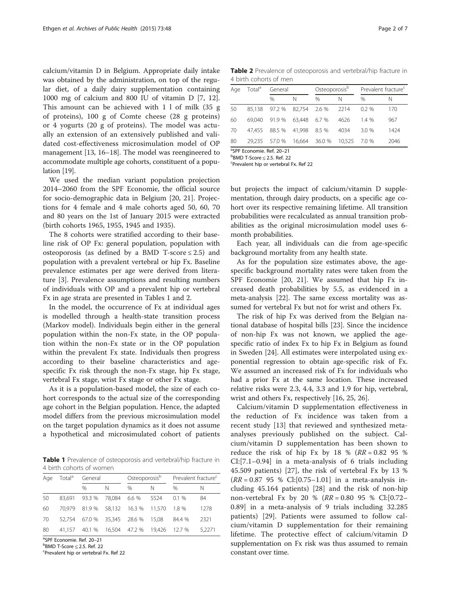calcium/vitamin D in Belgium. Appropriate daily intake was obtained by the administration, on top of the regular diet, of a daily dairy supplementation containing 1000 mg of calcium and 800 IU of vitamin D [[7, 12](#page-5-0)]. This amount can be achieved with 1 l of milk (35 g of proteins), 100 g of Comte cheese (28 g proteins) or 4 yogurts (20 g of proteins). The model was actually an extension of an extensively published and validated cost-effectiveness microsimulation model of OP management [[13](#page-5-0), [16](#page-5-0)–[18](#page-5-0)]. The model was reengineered to accommodate multiple age cohorts, constituent of a population [\[19\]](#page-5-0).

We used the median variant population projection 2014–2060 from the SPF Economie, the official source for socio-demographic data in Belgium [[20, 21](#page-5-0)]. Projections for 4 female and 4 male cohorts aged 50, 60, 70 and 80 years on the 1st of January 2015 were extracted (birth cohorts 1965, 1955, 1945 and 1935).

The 8 cohorts were stratified according to their baseline risk of OP Fx: general population, population with osteoporosis (as defined by a BMD T-score  $\leq$  2.5) and population with a prevalent vertebral or hip Fx. Baseline prevalence estimates per age were derived from literature [\[3](#page-5-0)]. Prevalence assumptions and resulting numbers of individuals with OP and a prevalent hip or vertebral Fx in age strata are presented in Tables 1 and 2.

In the model, the occurrence of Fx at individual ages is modelled through a health-state transition process (Markov model). Individuals begin either in the general population within the non-Fx state, in the OP population within the non-Fx state or in the OP population within the prevalent Fx state. Individuals then progress according to their baseline characteristics and agespecific Fx risk through the non-Fx stage, hip Fx stage, vertebral Fx stage, wrist Fx stage or other Fx stage.

As it is a population-based model, the size of each cohort corresponds to the actual size of the corresponding age cohort in the Belgian population. Hence, the adapted model differs from the previous microsimulation model on the target population dynamics as it does not assume a hypothetical and microsimulated cohort of patients

Table 1 Prevalence of osteoporosis and vertebral/hip fracture in 4 birth cohorts of women

| Age | Total <sup>a</sup> | General                                   |   | Osteoporosis <sup>b</sup> |   | Prevalent fracture <sup>c</sup> |        |  |
|-----|--------------------|-------------------------------------------|---|---------------------------|---|---------------------------------|--------|--|
|     |                    | $\frac{0}{0}$                             | N | $\frac{0}{0}$             | N | $\%$                            | N      |  |
| 50  |                    | 83.691 93.3 % 78.084 6.6 % 5524           |   |                           |   | $0.1\%$                         | 84     |  |
| 60  |                    | 70,979 81.9 % 58,132 16.3 % 11,570 1.8 %  |   |                           |   |                                 | 1278   |  |
| 70  |                    | 52.754 67.0 % 35.345 28.6 % 15.08         |   |                           |   | 84.4 %                          | 2321   |  |
| 80  |                    | 41,157 40.1 % 16,504 47.2 % 19,426 12.7 % |   |                           |   |                                 | 5.2271 |  |

<sup>a</sup>SPF Economie. Ref. 20–21<br><sup>b</sup>PMD T Score < 2.5 Bef. 23  $B<sup>b</sup>BMD$  T-Score  $\leq$  2.5. Ref. 22

Prevalent hip or vertebral Fx. Ref 22

Table 2 Prevalence of osteoporosis and vertebral/hip fracture in 4 birth cohorts of men

| Age | Total <sup>a</sup> | General       |              | Osteoporosis <sup>b</sup> |        | Prevalent fracture <sup>c</sup> |      |  |
|-----|--------------------|---------------|--------------|---------------------------|--------|---------------------------------|------|--|
|     |                    | $\%$          | N            | $\%$                      | N      | $\%$                            | N    |  |
| 50  | 85.138             | 97.2 % 82,754 |              | 2.6 %                     | 2214   | $0.2\%$                         | 170  |  |
| 60  | 69.040             | 91.9 %        | 63.448 6.7 % |                           | 4626   | 1.4%                            | 967  |  |
| 70  | 47.455             | 88.5 % 41.998 |              | 8.5 %                     | 4034   | 3.0%                            | 1424 |  |
| 80  | 29.235             | 57.0 %        |              | 16.664 36.0 %             | 10.525 | 7.0 %                           | 2046 |  |
|     |                    |               |              |                           |        |                                 |      |  |

<sup>a</sup>SPF Economie. Ref. 20–21

 $B<sup>b</sup>BMD$  T-Score  $\leq$  2.5. Ref. 22

Prevalent hip or vertebral Fx. Ref 22

but projects the impact of calcium/vitamin D supplementation, through dairy products, on a specific age cohort over its respective remaining lifetime. All transition probabilities were recalculated as annual transition probabilities as the original microsimulation model uses 6 month probabilities.

Each year, all individuals can die from age-specific background mortality from any health state.

As for the population size estimates above, the agespecific background mortality rates were taken from the SPF Economie [[20, 21\]](#page-5-0). We assumed that hip Fx increased death probabilities by 5.5, as evidenced in a meta-analysis [[22\]](#page-5-0). The same excess mortality was assumed for vertebral Fx but not for wrist and others Fx.

The risk of hip Fx was derived from the Belgian national database of hospital bills [[23\]](#page-5-0). Since the incidence of non-hip Fx was not known, we applied the agespecific ratio of index Fx to hip Fx in Belgium as found in Sweden [[24\]](#page-5-0). All estimates were interpolated using exponential regression to obtain age-specific risk of Fx. We assumed an increased risk of Fx for individuals who had a prior Fx at the same location. These increased relative risks were 2.3, 4.4, 3.3 and 1.9 for hip, vertebral, wrist and others Fx, respectively [[16, 25, 26](#page-5-0)].

Calcium/vitamin D supplementation effectiveness in the reduction of Fx incidence was taken from a recent study [[13\]](#page-5-0) that reviewed and synthesized metaanalyses previously published on the subject. Calcium/vitamin D supplementation has been shown to reduce the risk of hip Fx by 18 %  $(RR = 0.82 \, 95 \, \%)$ CI:[7.1–0.94] in a meta-analysis of 6 trials including 45.509 patients) [[27\]](#page-6-0), the risk of vertebral Fx by 13 %  $(RR = 0.87 \, 95 \, % \, Cl:[0.75-1.01]$  in a meta-analysis including 45.164 patients) [\[28](#page-6-0)] and the risk of non-hip non-vertebral Fx by 20 % (RR = 0.80 95 % Cl:[0.72– 0.89] in a meta-analysis of 9 trials including 32.285 patients) [[29](#page-6-0)]. Patients were assumed to follow calcium/vitamin D supplementation for their remaining lifetime. The protective effect of calcium/vitamin D supplementation on Fx risk was thus assumed to remain constant over time.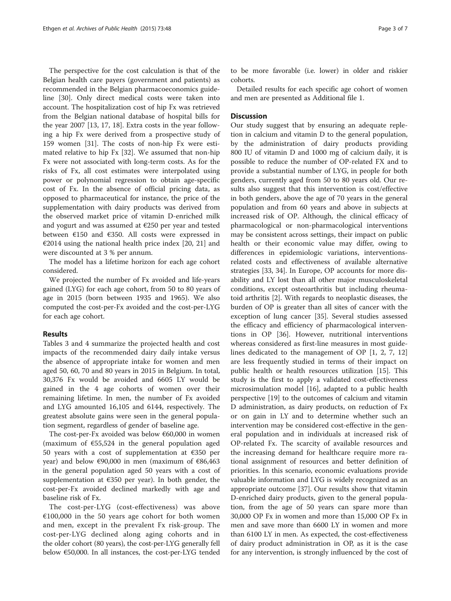The perspective for the cost calculation is that of the Belgian health care payers (government and patients) as recommended in the Belgian pharmacoeconomics guideline [[30](#page-6-0)]. Only direct medical costs were taken into account. The hospitalization cost of hip Fx was retrieved from the Belgian national database of hospital bills for the year 2007 [\[13](#page-5-0), [17](#page-5-0), [18](#page-5-0)]. Extra costs in the year following a hip Fx were derived from a prospective study of 159 women [[31\]](#page-6-0). The costs of non-hip Fx were estimated relative to hip Fx [\[32](#page-6-0)]. We assumed that non-hip Fx were not associated with long-term costs. As for the risks of Fx, all cost estimates were interpolated using power or polynomial regression to obtain age-specific cost of Fx. In the absence of official pricing data, as opposed to pharmaceutical for instance, the price of the supplementation with dairy products was derived from the observed market price of vitamin D-enriched milk and yogurt and was assumed at €250 per year and tested between  $£150$  and  $£350$ . All costs were expressed in €2014 using the national health price index [[20, 21\]](#page-5-0) and were discounted at 3 % per annum.

The model has a lifetime horizon for each age cohort considered.

We projected the number of Fx avoided and life-years gained (LYG) for each age cohort, from 50 to 80 years of age in 2015 (born between 1935 and 1965). We also computed the cost-per-Fx avoided and the cost-per-LYG for each age cohort.

## Results

Tables [3](#page-3-0) and [4](#page-3-0) summarize the projected health and cost impacts of the recommended dairy daily intake versus the absence of appropriate intake for women and men aged 50, 60, 70 and 80 years in 2015 in Belgium. In total, 30,376 Fx would be avoided and 6605 LY would be gained in the 4 age cohorts of women over their remaining lifetime. In men, the number of Fx avoided and LYG amounted 16,105 and 6144, respectively. The greatest absolute gains were seen in the general population segment, regardless of gender of baseline age.

The cost-per-Fx avoided was below  $60,000$  in women (maximum of  $\epsilon$ 55,524 in the general population aged 50 years with a cost of supplementation at €350 per year) and below €90,000 in men (maximum of  $€86,463$ in the general population aged 50 years with a cost of supplementation at  $\epsilon$ 350 per year). In both gender, the cost-per-Fx avoided declined markedly with age and baseline risk of Fx.

The cost-per-LYG (cost-effectiveness) was above  $€100,000$  in the 50 years age cohort for both women and men, except in the prevalent Fx risk-group. The cost-per-LYG declined along aging cohorts and in the older cohort (80 years), the cost-per-LYG generally fell below €50,000. In all instances, the cost-per-LYG tended

to be more favorable (i.e. lower) in older and riskier cohorts.

Detailed results for each specific age cohort of women and men are presented as Additional file [1](#page-4-0).

## **Discussion**

Our study suggest that by ensuring an adequate repletion in calcium and vitamin D to the general population, by the administration of dairy products providing 800 IU of vitamin D and 1000 mg of calcium daily, it is possible to reduce the number of OP-related FX and to provide a substantial number of LYG, in people for both genders, currently aged from 50 to 80 years old. Our results also suggest that this intervention is cost/effective in both genders, above the age of 70 years in the general population and from 60 years and above in subjects at increased risk of OP. Although, the clinical efficacy of pharmacological or non-pharmacological interventions may be consistent across settings, their impact on public health or their economic value may differ, owing to differences in epidemiologic variations, interventionsrelated costs and effectiveness of available alternative strategies [\[33, 34\]](#page-6-0). In Europe, OP accounts for more disability and LY lost than all other major musculoskeletal conditions, except osteoarthritis but including rheumatoid arthritis [\[2](#page-5-0)]. With regards to neoplastic diseases, the burden of OP is greater than all sites of cancer with the exception of lung cancer [[35](#page-6-0)]. Several studies assessed the efficacy and efficiency of pharmacological interventions in OP [[36](#page-6-0)]. However, nutritional interventions whereas considered as first-line measures in most guidelines dedicated to the management of OP [\[1](#page-5-0), [2, 7](#page-5-0), [12](#page-5-0)] are less frequently studied in terms of their impact on public health or health resources utilization [[15](#page-5-0)]. This study is the first to apply a validated cost-effectiveness microsimulation model [\[16](#page-5-0)], adapted to a public health perspective [[19\]](#page-5-0) to the outcomes of calcium and vitamin D administration, as dairy products, on reduction of Fx or on gain in LY and to determine whether such an intervention may be considered cost-effective in the general population and in individuals at increased risk of OP-related Fx. The scarcity of available resources and the increasing demand for healthcare require more rational assignment of resources and better definition of priorities. In this scenario, economic evaluations provide valuable information and LYG is widely recognized as an appropriate outcome [[37\]](#page-6-0). Our results show that vitamin D-enriched dairy products, given to the general population, from the age of 50 years can spare more than 30,000 OP Fx in women and more than 15,000 OP Fx in men and save more than 6600 LY in women and more than 6100 LY in men. As expected, the cost-effectiveness of dairy product administration in OP, as it is the case for any intervention, is strongly influenced by the cost of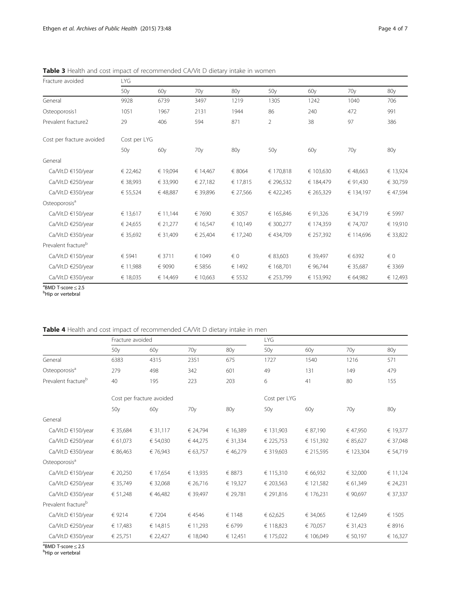| Fracture avoided                | LYG          |          |                 |          |                 |           |                 |          |  |
|---------------------------------|--------------|----------|-----------------|----------|-----------------|-----------|-----------------|----------|--|
|                                 | 50y          | 60y      | 70 <sub>V</sub> | 80y      | 50 <sub>V</sub> | 60y       | 70y             | 80y      |  |
| General                         | 9928         | 6739     | 3497            | 1219     | 1305            | 1242      | 1040            | 706      |  |
| Osteoporosis1                   | 1051         | 1967     | 2131            | 1944     | 86              | 240       | 472             | 991      |  |
| Prevalent fracture2             | 29           | 406      | 594             | 871      | $\overline{2}$  | 38        | 97              | 386      |  |
| Cost per fracture avoided       | Cost per LYG |          |                 |          |                 |           |                 |          |  |
|                                 | 50y          | 60y      | 70 <sub>V</sub> | 80y      | 50 <sub>V</sub> | 60y       | 70 <sub>y</sub> | 80y      |  |
| General                         |              |          |                 |          |                 |           |                 |          |  |
| Ca/Vit.D €150/year              | € 22,462     | € 19,094 | € 14,467        | € 8064   | € 170,818       | € 103,630 | € 48,663        | € 13,924 |  |
| Ca/Vit.D €250/year              | € 38,993     | € 33,990 | € 27,182        | € 17,815 | € 296,532       | € 184,479 | € 91,430        | € 30,759 |  |
| Ca/Vit.D €350/year              | € 55,524     | €48,887  | € 39,896        | € 27,566 | € 422,245       | € 265,329 | € 134,197       | € 47,594 |  |
| Osteoporosis <sup>a</sup>       |              |          |                 |          |                 |           |                 |          |  |
| Ca/Vit.D €150/year              | € 13,617     | € 11,144 | € 7690          | € 3057   | € 165,846       | € 91,326  | € 34,719        | € 5997   |  |
| Ca/Vit.D €250/year              | € 24,655     | € 21,277 | € 16,547        | € 10,149 | € 300,277       | € 174,359 | € 74,707        | € 19,910 |  |
| Ca/Vit.D €350/year              | € 35,692     | € 31.409 | € 25,404        | € 17,240 | €434.709        | € 257.392 | € 114,696       | € 33,822 |  |
| Prevalent fracture <sup>b</sup> |              |          |                 |          |                 |           |                 |          |  |
| Ca/Vit.D €150/year              | € 5941       | € 3711   | € 1049          | $\in 0$  | € 83,603        | € 39,497  | € 6392          | € 0      |  |
| Ca/Vit.D €250/year              | € 11,988     | € 9090   | € 5856          | € 1492   | € 168,701       | € 96,744  | € 35,687        | € 3369   |  |
| Ca/Vit.D €350/year              | € 18,035     | € 14,469 | € 10,663        | € 5532   | € 253,799       | € 153,992 | € 64,982        | € 12,493 |  |

<span id="page-3-0"></span>Table 3 Health and cost impact of recommended CA/Vit D dietary intake in women

<sup>a</sup>BMD T-score ≤ 2.5<br><sup>b</sup>Hip or vertebral

b<sub>Hip</sub> or vertebral

# Table 4 Health and cost impact of recommended CA/Vit D dietary intake in men

|                                 | Fracture avoided |                           |                 |          | LYG             |                 |                 |          |
|---------------------------------|------------------|---------------------------|-----------------|----------|-----------------|-----------------|-----------------|----------|
|                                 | 50y              | 60y                       | 70y             | 80y      | 50 <sub>y</sub> | 60y             | 70 <sub>y</sub> | 80y      |
| General                         | 6383             | 4315                      | 2351            | 675      | 1727            | 1540            | 1216            | 571      |
| Osteoporosis <sup>a</sup>       | 279              | 498                       | 342             | 601      | 49              | 131             | 149             | 479      |
| Prevalent fracture <sup>b</sup> | 40               | 195                       | 223             | 203      | 6               | 41              | 80              | 155      |
|                                 |                  | Cost per fracture avoided |                 |          | Cost per LYG    |                 |                 |          |
|                                 | 50y              | 60y                       | 70 <sub>V</sub> | 80y      | 50y             | 60 <sub>V</sub> | 70 <sub>V</sub> | 80y      |
| General                         |                  |                           |                 |          |                 |                 |                 |          |
| Ca/Vit.D €150/year              | € 35,684         | € 31,117                  | € 24,794        | € 16,389 | € 131,903       | € 87,190        | € 47,950        | € 19,377 |
| Ca/Vit.D €250/year              | € 61,073         | € 54,030                  | € 44,275        | € 31,334 | € 225,753       | € 151,392       | € 85,627        | € 37,048 |
| Ca/Vit.D €350/year              | € 86,463         | € 76,943                  | € 63,757        | € 46,279 | € 319,603       | € 215,595       | € 123,304       | € 54,719 |
| Osteoporosis <sup>a</sup>       |                  |                           |                 |          |                 |                 |                 |          |
| Ca/Vit.D €150/year              | € 20,250         | € 17,654                  | € 13,935        | € 8873   | € 115,310       | € 66,932        | € 32,000        | € 11,124 |
| Ca/Vit.D €250/year              | € 35,749         | € 32,068                  | € 26,716        | € 19,327 | € 203,563       | € 121,582       | € 61,349        | € 24,231 |
| Ca/Vit.D €350/year              | € 51,248         | € 46,482                  | € 39,497        | € 29,781 | € 291,816       | € 176,231       | € 90,697        | € 37,337 |
| Prevalent fracture <sup>b</sup> |                  |                           |                 |          |                 |                 |                 |          |
| Ca/Vit.D €150/year              | € 9214           | € 7204                    | € 4546          | € 1148   | € 62,625        | € 34,065        | € 12,649        | € 1505   |
| Ca/Vit.D €250/year              | € 17,483         | € 14,815                  | € 11,293        | € 6799   | € 118,823       | € 70,057        | € 31,423        | € 8916   |
| Ca/Vit.D €350/year              | € 25,751         | € 22,427                  | € 18,040        | € 12,451 | € 175,022       | € 106,049       | € 50,197        | € 16,327 |

<sup>a</sup>BMD T-score ≤ 2.5<br><sup>b</sup>Hip or vertebral

<sup>b</sup>Hip or vertebral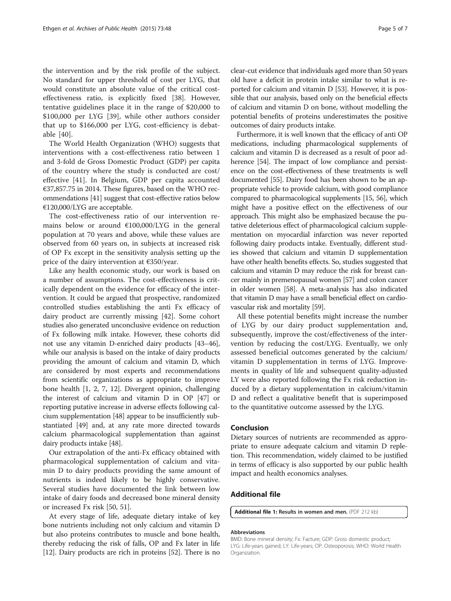<span id="page-4-0"></span>the intervention and by the risk profile of the subject. No standard for upper threshold of cost per LYG, that would constitute an absolute value of the critical costeffectiveness ratio, is explicitly fixed [\[38](#page-6-0)]. However, tentative guidelines place it in the range of \$20,000 to \$100,000 per LYG [\[39](#page-6-0)], while other authors consider that up to \$166,000 per LYG, cost-efficiency is debatable [[40\]](#page-6-0).

The World Health Organization (WHO) suggests that interventions with a cost-effectiveness ratio between 1 and 3-fold de Gross Domestic Product (GDP) per capita of the country where the study is conducted are cost/ effective [\[41](#page-6-0)]. In Belgium, GDP per capita accounted €37,857.75 in 2014. These figures, based on the WHO recommendations [\[41\]](#page-6-0) suggest that cost-effective ratios below €120,000/LYG are acceptable.

The cost-effectiveness ratio of our intervention remains below or around €100,000/LYG in the general population at 70 years and above, while these values are observed from 60 years on, in subjects at increased risk of OP Fx except in the sensitivity analysis setting up the price of the dairy intervention at €350/year.

Like any health economic study, our work is based on a number of assumptions. The cost-effectiveness is critically dependent on the evidence for efficacy of the intervention. It could be argued that prospective, randomized controlled studies establishing the anti Fx efficacy of dairy product are currently missing [\[42](#page-6-0)]. Some cohort studies also generated unconclusive evidence on reduction of Fx following milk intake. However, these cohorts did not use any vitamin D-enriched dairy products [\[43](#page-6-0)–[46](#page-6-0)], while our analysis is based on the intake of dairy products providing the amount of calcium and vitamin D, which are considered by most experts and recommendations from scientific organizations as appropriate to improve bone health [\[1](#page-5-0), [2](#page-5-0), [7](#page-5-0), [12](#page-5-0)]. Divergent opinion, challenging the interest of calcium and vitamin D in OP [[47](#page-6-0)] or reporting putative increase in adverse effects following calcium supplementation [\[48\]](#page-6-0) appear to be insufficiently substantiated [[49](#page-6-0)] and, at any rate more directed towards calcium pharmacological supplementation than against dairy products intake [\[48\]](#page-6-0).

Our extrapolation of the anti-Fx efficacy obtained with pharmacological supplementation of calcium and vitamin D to dairy products providing the same amount of nutrients is indeed likely to be highly conservative. Several studies have documented the link between low intake of dairy foods and decreased bone mineral density or increased Fx risk [[50](#page-6-0), [51](#page-6-0)].

At every stage of life, adequate dietary intake of key bone nutrients including not only calcium and vitamin D but also proteins contributes to muscle and bone health, thereby reducing the risk of falls, OP and Fx later in life [[12](#page-5-0)]. Dairy products are rich in proteins [[52](#page-6-0)]. There is no clear-cut evidence that individuals aged more than 50 years old have a deficit in protein intake similar to what is reported for calcium and vitamin D [[53](#page-6-0)]. However, it is possible that our analysis, based only on the beneficial effects of calcium and vitamin D on bone, without modelling the potential benefits of proteins underestimates the positive outcomes of dairy products intake.

Furthermore, it is well known that the efficacy of anti OP medications, including pharmacological supplements of calcium and vitamin D is decreased as a result of poor ad-herence [[54](#page-6-0)]. The impact of low compliance and persistence on the cost-effectiveness of these treatments is well documented [\[55\]](#page-6-0). Dairy food has been shown to be an appropriate vehicle to provide calcium, with good compliance compared to pharmacological supplements [\[15,](#page-5-0) [56\]](#page-6-0), which might have a positive effect on the effectiveness of our approach. This might also be emphasized because the putative deleterious effect of pharmacological calcium supplementation on myocardial infarction was never reported following dairy products intake. Eventually, different studies showed that calcium and vitamin D supplementation have other health benefits effects. So, studies suggested that calcium and vitamin D may reduce the risk for breast cancer mainly in premenopausal women [\[57\]](#page-6-0) and colon cancer in older women [\[58](#page-6-0)]. A meta-analysis has also indicated that vitamin D may have a small beneficial effect on cardiovascular risk and mortality [\[59\]](#page-6-0).

All these potential benefits might increase the number of LYG by our dairy product supplementation and, subsequently, improve the cost/effectiveness of the intervention by reducing the cost/LYG. Eventually, we only assessed beneficial outcomes generated by the calcium/ vitamin D supplementation in terms of LYG. Improvements in quality of life and subsequent quality-adjusted LY were also reported following the Fx risk reduction induced by a dietary supplementation in calcium/vitamin D and reflect a qualitative benefit that is superimposed to the quantitative outcome assessed by the LYG.

#### Conclusion

Dietary sources of nutrients are recommended as appropriate to ensure adequate calcium and vitamin D repletion. This recommendation, widely claimed to be justified in terms of efficacy is also supported by our public health impact and health economics analyses.

# Additional file

[Additional file 1:](http://www.archpublichealth.com/content/supplementary/s13690-015-0099-3-s1.pdf) Results in women and men. (PDF 212 kb)

#### Abbreviations

BMD: Bone mineral density; Fx: Facture; GDP: Gross domestic product; LYG: Life-years gained; LY: Life-years; OP: Osteoporosis; WHO: World Health Organization.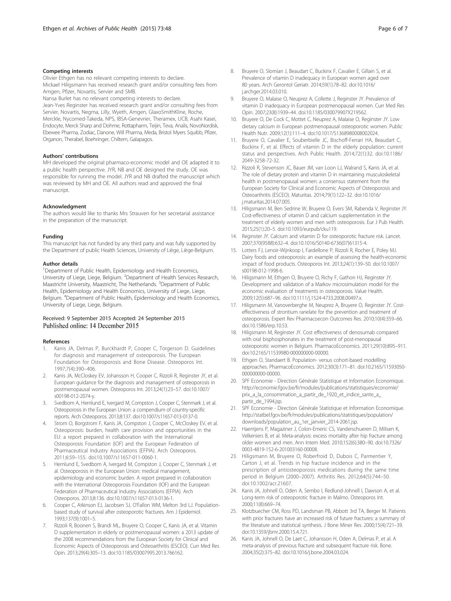#### <span id="page-5-0"></span>Competing interests

Olivier Ethgen has no relevant competing interests to declare.

Mickael Hiligsmann has received research grant and/or consulting fees from Amgen, Pfizer, Novartis, Servier and SMB.

Nansa Burlet has no relevant competing interests to declare.

Jean-Yves Reginster has received research grant and/or consulting fees from Servier, Novartis, Negma, Lilly, Wyeth, Amgen, GlaxoSmithKline, Roche, Merckle, Nycomed-Takeda, NPS, IBSA-Genevrier, Theramex, UCB, Asahi Kasei, Endocyte, Merck Sharp and Dohme, Rottapharm, Teijin, Teva, Analis, NovoNordisk, Ebewee Pharma, Zodiac, Danone, Will Pharma, Meda, Bristol Myers Squibb, Pfizer, Organon, Therabel, Boehringer, Chiltern, Galapagos.

#### Authors' contributions

MH developed the original pharmaco-economic model and OE adapted it to a public health perspective. JYR, NB and OE designed the study. OE was responsible for running the model. JYR and NB drafted the manuscript which was reviewed by MH and OE. All authors read and approved the final manuscript.

#### Acknowledgment

The authors would like to thanks Mrs Strauven for her secretarial assistance in the preparation of the manuscript.

#### Funding

This manuscript has not funded by any third party and was fully supported by the Department of public Health Sciences, University of Liège, Liège-Belgium.

#### Author details

<sup>1</sup>Department of Public Health, Epidemiology and Health Economics, University of Liege, Liege, Belgium. <sup>2</sup>Department of Health Services Research, Maastricht University, Maastricht, The Netherlands. <sup>3</sup>Department of Public Health, Epidemiology and Health Economics, University of Liege, Liege, Belgium. <sup>4</sup>Department of Public Health, Epidemiology and Health Economics, University of Liege, Liege, Belgium.

### Received: 9 September 2015 Accepted: 24 September 2015 Published online: 14 December 2015

#### References

- Kanis JA, Delmas P, Burckhardt P, Cooper C, Torgerson D. Guidelines for diagnosis and management of osteoporosis. The European Foundation for Osteoporosis and Bone Disease. Osteoporos Int. 1997;7(4):390–406.
- Kanis JA, McCloskey EV, Johansson H, Cooper C, Rizzoli R, Reginster JY, et al. European guidance for the diagnosis and management of osteoporosis in postmenopausal women. Osteoporos Int. 2013;24(1):23–57. doi:[10.1007/](http://dx.doi.org/10.1007/s00198-012-2074-y) [s00198-012-2074-y.](http://dx.doi.org/10.1007/s00198-012-2074-y)
- 3. Svedbom A, Hernlund E, Ivergard M, Compston J, Cooper C, Stenmark J, et al. Osteoporosis in the European Union: a compendium of country-specific reports. Arch Osteoporos. 2013;8:137. doi[:10.1007/s11657-013-0137-0](http://dx.doi.org/10.1007/s11657-013-0137-0).
- Strom O, Borgstrom F, Kanis JA, Compston J, Cooper C, McCloskey EV, et al. Osteoporosis: burden, health care provision and opportunities in the EU: a report prepared in collaboration with the International Osteoporosis Foundation (IOF) and the European Federation of Pharmaceutical Industry Associations (EFPIA). Arch Osteoporos. 2011;6:59–155. doi:[10.1007/s11657-011-0060-1](http://dx.doi.org/10.1007/s11657-011-0060-1).
- 5. Hernlund E, Svedbom A, Ivergard M, Compston J, Cooper C, Stenmark J, et al. Osteoporosis in the European Union: medical management, epidemiology and economic burden. A report prepared in collaboration with the International Osteoporosis Foundation (IOF) and the European Federation of Pharmaceutical Industry Associations (EFPIA). Arch Osteoporos. 2013;8:136. doi[:10.1007/s11657-013-0136-1](http://dx.doi.org/10.1007/s11657-013-0136-1).
- 6. Cooper C, Atkinson EJ, Jacobsen SJ, O'Fallon WM, Melton 3rd LJ. Populationbased study of survival after osteoporotic fractures. Am J Epidemiol. 1993;137(9):1001–5.
- 7. Rizzoli R, Boonen S, Brandi ML, Bruyere O, Cooper C, Kanis JA, et al. Vitamin D supplementation in elderly or postmenopausal women: a 2013 update of the 2008 recommendations from the European Society for Clinical and Economic Aspects of Osteoporosis and Osteoarthritis (ESCEO). Curr Med Res Opin. 2013;29(4):305–13. doi[:10.1185/03007995.2013.766162](http://dx.doi.org/10.1185/03007995.2013.766162).
- Bruyere O, Slomian J, Beaudart C, Buckinx F, Cavalier E, Gillain S, et al. Prevalence of vitamin D inadequacy in European women aged over 80 years. Arch Gerontol Geriatr. 2014;59(1):78–82. doi:[10.1016/](http://dx.doi.org/10.1016/j.archger.2014.03.010) [j.archger.2014.03.010](http://dx.doi.org/10.1016/j.archger.2014.03.010).
- 9. Bruyere O, Malaise O, Neuprez A, Collette J, Reginster JY. Prevalence of vitamin D inadequacy in European postmenopausal women. Curr Med Res Opin. 2007;23(8):1939–44. doi:[10.1185/030079907X219562.](http://dx.doi.org/10.1185/030079907X219562)
- 10. Bruyere O, De Cock C, Mottet C, Neuprez A, Malaise O, Reginster JY. Low dietary calcium in European postmenopausal osteoporotic women. Public Health Nutr. 2009;12(1):111–4. doi:[10.1017/S1368980008002024.](http://dx.doi.org/10.1017/S1368980008002024)
- 11. Bruyere O, Cavalier E, Souberbielle JC, Bischoff-Ferrari HA, Beaudart C, Buckinx F, et al. Effects of vitamin D in the elderly population: current status and perspectives. Arch Public Health. 2014;72(1):32. doi:[10.1186/](http://dx.doi.org/10.1186/2049-3258-72-32) [2049-3258-72-32](http://dx.doi.org/10.1186/2049-3258-72-32).
- 12. Rizzoli R, Stevenson JC, Bauer JM, van Loon LJ, Walrand S, Kanis JA, et al. The role of dietary protein and vitamin D in maintaining musculoskeletal health in postmenopausal women: a consensus statement from the European Society for Clinical and Economic Aspects of Osteoporosis and Osteoarthritis (ESCEO). Maturitas. 2014;79(1):122–32. doi:[10.1016/](http://dx.doi.org/10.1016/j.maturitas.2014.07.005) [j.maturitas.2014.07.005.](http://dx.doi.org/10.1016/j.maturitas.2014.07.005)
- 13. Hiligsmann M, Ben Sedrine W, Bruyere O, Evers SM, Rabenda V, Reginster JY. Cost-effectiveness of vitamin D and calcium supplementation in the treatment of elderly women and men with osteoporosis. Eur J Pub Health. 2015;25(1):20–5. doi[:10.1093/eurpub/cku119](http://dx.doi.org/10.1093/eurpub/cku119).
- 14. Reginster JY. Calcium and vitamin D for osteoporotic fracture risk. Lancet. 2007;370(9588):632–4. doi[:10.1016/S0140-6736\(07\)61315-4](http://dx.doi.org/10.1016/S0140-6736(07)61315-4).
- 15. Lotters FJ, Lenoir-Wijnkoop I, Fardellone P, Rizzoli R, Rocher E, Poley MJ. Dairy foods and osteoporosis: an example of assessing the health-economic impact of food products. Osteoporos Int. 2013;24(1):139–50. doi[:10.1007/](http://dx.doi.org/10.1007/s00198-012-1998-6) [s00198-012-1998-6.](http://dx.doi.org/10.1007/s00198-012-1998-6)
- 16. Hiligsmann M, Ethgen O, Bruyere O, Richy F, Gathon HJ, Reginster JY. Development and validation of a Markov microsimulation model for the economic evaluation of treatments in osteoporosis. Value Health. 2009;12(5):687–96. doi:[10.1111/j.1524-4733.2008.00497.x](http://dx.doi.org/10.1111/j.1524-4733.2008.00497.x).
- 17. Hiligsmann M, Vanoverberghe M, Neuprez A, Bruyere O, Reginster JY. Costeffectiveness of strontium ranelate for the prevention and treatment of osteoporosis. Expert Rev Pharmacoecon Outcomes Res. 2010;10(4):359–66. doi[:10.1586/erp.10.53.](http://dx.doi.org/10.1586/erp.10.53)
- 18. Hiligsmann M, Reginster JY. Cost effectiveness of denosumab compared with oral bisphosphonates in the treatment of post-menopausal osteoporotic women in Belgium. PharmacoEconomics. 2011;29(10):895–911. doi[:10.2165/11539980-000000000-00000](http://dx.doi.org/10.2165/11539980-000000000-00000).
- 19. Ethgen O, Standaert B. Population- versus cohort-based modelling approaches. PharmacoEconomics. 2012;30(3):171–81. doi:[10.2165/11593050-](http://dx.doi.org/10.2165/11593050-000000000-00000) [000000000-00000.](http://dx.doi.org/10.2165/11593050-000000000-00000)
- 20. SPF Economie Direction Générale Statistique et Information Economique. [http://economie.fgov.be/fr/modules/publications/statistiques/economie/](http://economie.fgov.be/fr/modules/publications/statistiques/economie/prix_a_la_consommation_a_partir_de_1920_et_indice_sante_a_partir_de_1994.jsp) [prix\\_a\\_la\\_consommation\\_a\\_partir\\_de\\_1920\\_et\\_indice\\_sante\\_a\\_](http://economie.fgov.be/fr/modules/publications/statistiques/economie/prix_a_la_consommation_a_partir_de_1920_et_indice_sante_a_partir_de_1994.jsp) [partir\\_de\\_1994.jsp.](http://economie.fgov.be/fr/modules/publications/statistiques/economie/prix_a_la_consommation_a_partir_de_1920_et_indice_sante_a_partir_de_1994.jsp)
- 21. SPF Economie Direction Générale Statistique et Information Economique. [http://statbel.fgov.be/fr/modules/publications/statistiques/population/](http://statbel.fgov.be/fr/modules/publications/statistiques/population/downloads/population_au_1er_janvier_2014-2061.jsp) [downloads/population\\_au\\_1er\\_janvier\\_2014-2061.jsp.](http://statbel.fgov.be/fr/modules/publications/statistiques/population/downloads/population_au_1er_janvier_2014-2061.jsp)
- 22. Haentjens P, Magaziner J, Colon-Emeric CS, Vanderschueren D, Milisen K, Velkeniers B, et al. Meta-analysis: excess mortality after hip fracture among older women and men. Ann Intern Med. 2010;152(6):380–90. doi[:10.7326/](http://dx.doi.org/10.7326/0003-4819-152-6-201003160-00008) [0003-4819-152-6-201003160-00008.](http://dx.doi.org/10.7326/0003-4819-152-6-201003160-00008)
- 23. Hiligsmann M, Bruyere O, Roberfroid D, Dubois C, Parmentier Y, Carton J, et al. Trends in hip fracture incidence and in the prescription of antiosteoporosis medications during the same time period in Belgium (2000–2007). Arthritis Res. 2012;64(5):744–50. doi:[10.1002/acr.21607.](http://dx.doi.org/10.1002/acr.21607)
- 24. Kanis JA, Johnell O, Oden A, Sembo I, Redlund-Johnell I, Dawson A, et al. Long-term risk of osteoporotic fracture in Malmo. Osteoporos Int. 2000;11(8):669–74.
- 25. Klotzbuecher CM, Ross PD, Landsman PB, Abbott 3rd TA, Berger M. Patients with prior fractures have an increased risk of future fractures: a summary of the literature and statistical synthesis. J Bone Miner Res. 2000;15(4):721–39. doi[:10.1359/jbmr.2000.15.4.721](http://dx.doi.org/10.1359/jbmr.2000.15.4.721).
- 26. Kanis JA, Johnell O, De Laet C, Johansson H, Oden A, Delmas P, et al. A meta-analysis of previous fracture and subsequent fracture risk. Bone. 2004;35(2):375–82. doi:[10.1016/j.bone.2004.03.024.](http://dx.doi.org/10.1016/j.bone.2004.03.024)